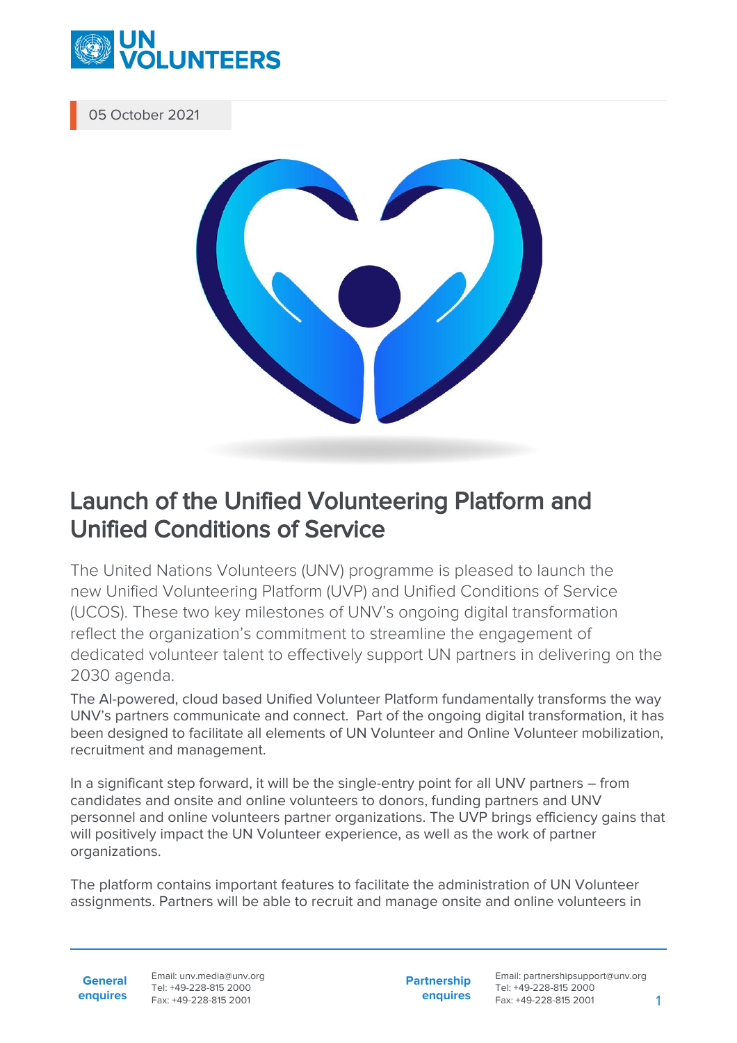

05 October 2021



## Launch of the Unified Volunteering Platform and Unified Conditions of Service

The United Nations Volunteers (UNV) programme is pleased to launch the new Unified Volunteering Platform (UVP) and Unified Conditions of Service (UCOS). These two key milestones of UNV's ongoing digital transformation reflect the organization's commitment to streamline the engagement of dedicated volunteer talent to effectively support UN partners in delivering on the 2030 agenda.

The AI-powered, cloud based Unified Volunteer Platform fundamentally transforms the way UNV's partners communicate and connect. Part of the ongoing digital transformation, it has been designed to facilitate all elements of UN Volunteer and Online Volunteer mobilization, recruitment and management.

In a significant step forward, it will be the single-entry point for all UNV partners – from candidates and onsite and online volunteers to donors, funding partners and UNV personnel and online volunteers partner organizations. The UVP brings efficiency gains that will positively impact the UN Volunteer experience, as well as the work of partner organizations.

The platform contains important features to facilitate the administration of UN Volunteer assignments. Partners will be able to recruit and manage onsite and online volunteers in

**General enquires** Email: unv.media@unv.org Tel: +49-228-815 2000 Fax: +49-228-815 2001

**Partnership enquires** Email: partnershipsupport@unv.org Tel: +49-228-815 2000 Fax: +49-228-815 2001 1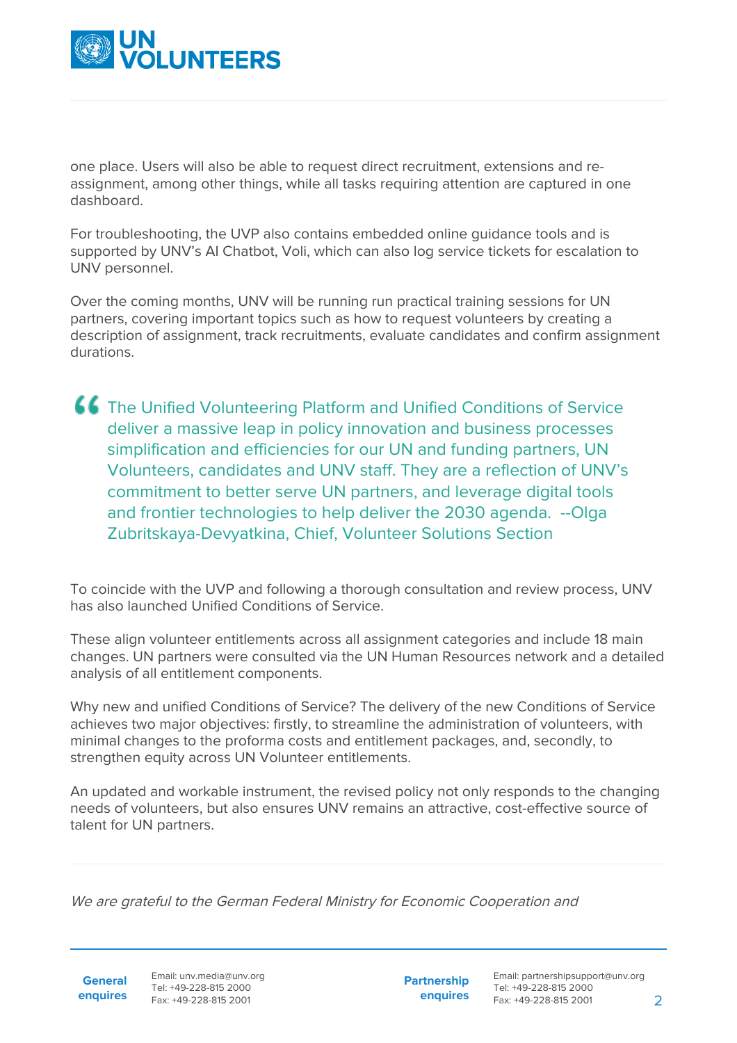

one place. Users will also be able to request direct recruitment, extensions and reassignment, among other things, while all tasks requiring attention are captured in one dashboard.

For troubleshooting, the UVP also contains embedded online guidance tools and is supported by UNV's AI Chatbot, Voli, which can also log service tickets for escalation to UNV personnel.

Over the coming months, UNV will be running run practical training sessions for UN partners, covering important topics such as how to request volunteers by creating a description of assignment, track recruitments, evaluate candidates and confirm assignment durations.

The Unified Volunteering Platform and Unified Conditions of Service deliver a massive leap in policy innovation and business processes simplification and efficiencies for our UN and funding partners, UN Volunteers, candidates and UNV staff. They are a reflection of UNV's commitment to better serve UN partners, and leverage digital tools and frontier technologies to help deliver the 2030 agenda. --Olga Zubritskaya-Devyatkina, Chief, Volunteer Solutions Section

To coincide with the UVP and following a thorough consultation and review process, UNV has also launched Unified Conditions of Service.

These align volunteer entitlements across all assignment categories and include 18 main changes. UN partners were consulted via the UN Human Resources network and a detailed analysis of all entitlement components.

Why new and unified Conditions of Service? The delivery of the new Conditions of Service achieves two major objectives: firstly, to streamline the administration of volunteers, with minimal changes to the proforma costs and entitlement packages, and, secondly, to strengthen equity across UN Volunteer entitlements.

An updated and workable instrument, the revised policy not only responds to the changing needs of volunteers, but also ensures UNV remains an attractive, cost-effective source of talent for UN partners.

We are grateful to the German Federal Ministry for Economic Cooperation and

**General**

**enquires** Fax: +49-228-815 2001 Email: unv.media@unv.org Tel: +49-228-815 2000

**Partnership enquires**

Email: partnershipsupport@unv.org Tel: +49-228-815 2000 Fax: +49-228-815 2001 2